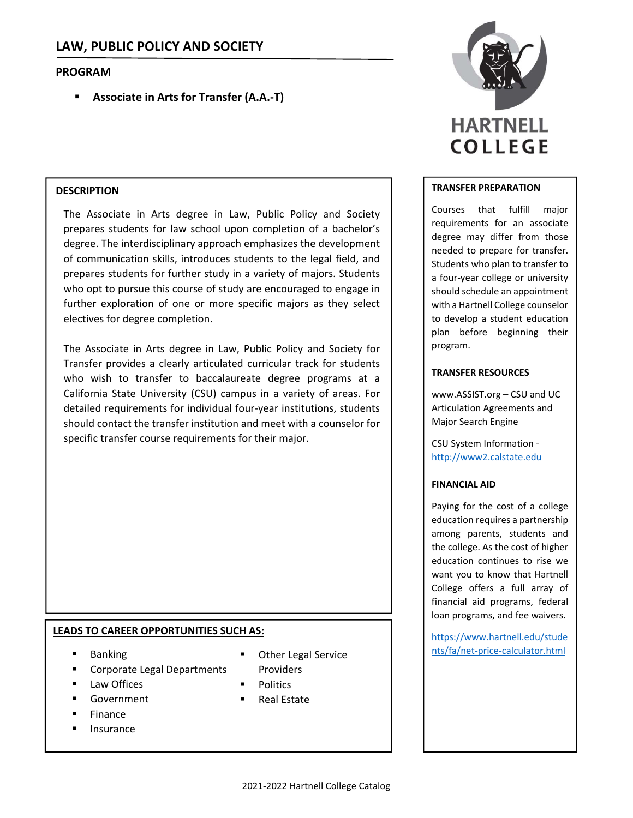# **PROGRAM**

**Associate in Arts for Transfer (A.A.‐T)**

## **DESCRIPTION**

The Associate in Arts degree in Law, Public Policy and Society prepares students for law school upon completion of a bachelor's degree. The interdisciplinary approach emphasizes the development of communication skills, introduces students to the legal field, and prepares students for further study in a variety of majors. Students who opt to pursue this course of study are encouraged to engage in further exploration of one or more specific majors as they select electives for degree completion.

The Associate in Arts degree in Law, Public Policy and Society for Transfer provides a clearly articulated curricular track for students who wish to transfer to baccalaureate degree programs at a California State University (CSU) campus in a variety of areas. For detailed requirements for individual four‐year institutions, students should contact the transfer institution and meet with a counselor for specific transfer course requirements for their major.

## **LEADS TO CAREER OPPORTUNITIES SUCH AS:**

- **Banking**
- Corporate Legal Departments
- Law Offices
- Government
- Finance
- Insurance
- Providers
- **Politics**
- Real Estate



#### **TRANSFER PREPARATION**

Courses that fulfill major requirements for an associate degree may differ from those needed to prepare for transfer. Students who plan to transfer to a four‐year college or university should schedule an appointment with a Hartnell College counselor to develop a student education plan before beginning their program.

#### **TRANSFER RESOURCES**

www.ASSIST.org – CSU and UC Articulation Agreements and Major Search Engine

CSU System Information ‐ http://www2.calstate.edu

#### **FINANCIAL AID**

Paying for the cost of a college education requires a partnership among parents, students and the college. As the cost of higher education continues to rise we want you to know that Hartnell College offers a full array of financial aid programs, federal loan programs, and fee waivers.

https://www.hartnell.edu/stude Other Legal Service **net all as a service** calculator.html